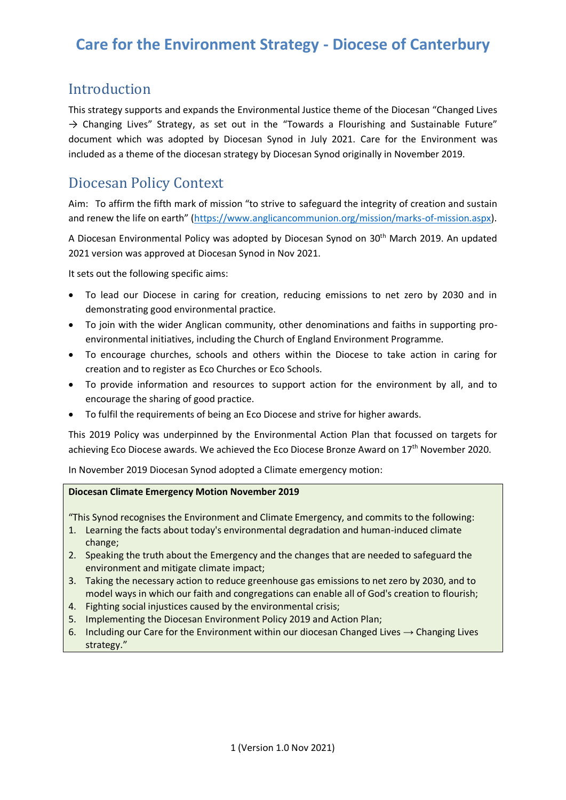### Introduction

This strategy supports and expands the Environmental Justice theme of the Diocesan "Changed Lives  $\rightarrow$  Changing Lives" Strategy, as set out in the "Towards a Flourishing and Sustainable Future" document which was adopted by Diocesan Synod in July 2021. Care for the Environment was included as a theme of the diocesan strategy by Diocesan Synod originally in November 2019.

## Diocesan Policy Context

Aim: To affirm the fifth mark of mission "to strive to safeguard the integrity of creation and sustain and renew the life on earth" ([https://www.anglicancommunion.org/mission/marks-of-mission.aspx\)](https://www.anglicancommunion.org/mission/marks-of-mission.aspx).

A Diocesan Environmental Policy was adopted by Diocesan Synod on 30<sup>th</sup> March 2019. An updated 2021 version was approved at Diocesan Synod in Nov 2021.

It sets out the following specific aims:

- To lead our Diocese in caring for creation, reducing emissions to net zero by 2030 and in demonstrating good environmental practice.
- To join with the wider Anglican community, other denominations and faiths in supporting proenvironmental initiatives, including the Church of England Environment Programme.
- To encourage churches, schools and others within the Diocese to take action in caring for creation and to register as Eco Churches or Eco Schools.
- To provide information and resources to support action for the environment by all, and to encourage the sharing of good practice.
- To fulfil the requirements of being an Eco Diocese and strive for higher awards.

This 2019 Policy was underpinned by the Environmental Action Plan that focussed on targets for achieving Eco Diocese awards. We achieved the Eco Diocese Bronze Award on 17<sup>th</sup> November 2020.

In November 2019 Diocesan Synod adopted a Climate emergency motion:

#### **Diocesan Climate Emergency Motion November 2019**

"This Synod recognises the Environment and Climate Emergency, and commits to the following:

- 1. Learning the facts about today's environmental degradation and human-induced climate change;
- 2. Speaking the truth about the Emergency and the changes that are needed to safeguard the environment and mitigate climate impact;
- 3. Taking the necessary action to reduce greenhouse gas emissions to net zero by 2030, and to model ways in which our faith and congregations can enable all of God's creation to flourish;
- 4. Fighting social injustices caused by the environmental crisis;
- 5. Implementing the Diocesan Environment Policy 2019 and Action Plan;
- 6. Including our Care for the Environment within our diocesan Changed Lives  $\rightarrow$  Changing Lives strategy."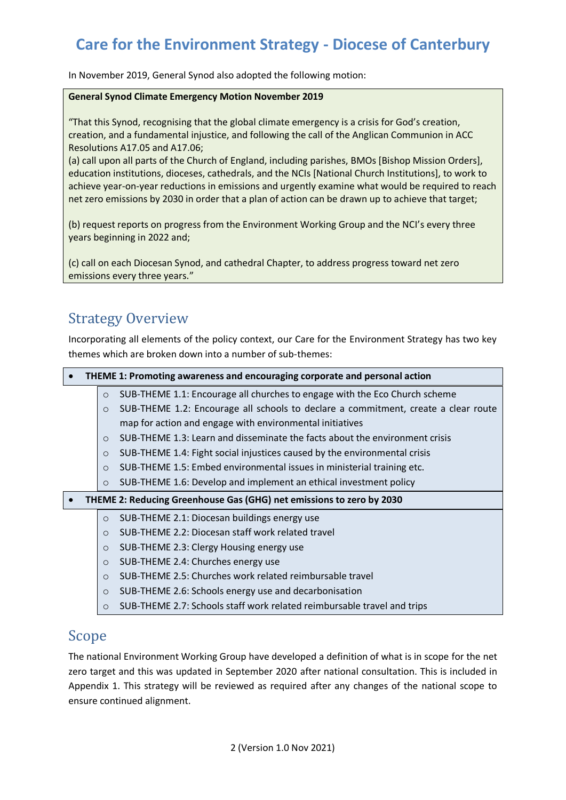In November 2019, General Synod also adopted the following motion:

#### **General Synod Climate Emergency Motion November 2019**

"That this Synod, recognising that the global climate emergency is a crisis for God's creation, creation, and a fundamental injustice, and following the call of the Anglican Communion in ACC Resolutions A17.05 and A17.06;

(a) call upon all parts of the Church of England, including parishes, BMOs [Bishop Mission Orders], education institutions, dioceses, cathedrals, and the NCIs [National Church Institutions], to work to achieve year-on-year reductions in emissions and urgently examine what would be required to reach net zero emissions by 2030 in order that a plan of action can be drawn up to achieve that target;

(b) request reports on progress from the Environment Working Group and the NCI's every three years beginning in 2022 and;

(c) call on each Diocesan Synod, and cathedral Chapter, to address progress toward net zero emissions every three years."

### Strategy Overview

Incorporating all elements of the policy context, our Care for the Environment Strategy has two key themes which are broken down into a number of sub-themes:

#### • **THEME 1: Promoting awareness and encouraging corporate and personal action**

- o SUB-THEME 1.1: Encourage all churches to engage with the Eco Church scheme
	- o SUB-THEME 1.2: Encourage all schools to declare a commitment, create a clear route map for action and engage with environmental initiatives
- o SUB-THEME 1.3: Learn and disseminate the facts about the environment crisis
- o SUB-THEME 1.4: Fight social injustices caused by the environmental crisis
- o SUB-THEME 1.5: Embed environmental issues in ministerial training etc.
- o SUB-THEME 1.6: Develop and implement an ethical investment policy

#### • **THEME 2: Reducing Greenhouse Gas (GHG) net emissions to zero by 2030**

- o SUB-THEME 2.1: Diocesan buildings energy use
- o SUB-THEME 2.2: Diocesan staff work related travel
- o SUB-THEME 2.3: Clergy Housing energy use
- o SUB-THEME 2.4: Churches energy use
- o SUB-THEME 2.5: Churches work related reimbursable travel
- o SUB-THEME 2.6: Schools energy use and decarbonisation
- o SUB-THEME 2.7: Schools staff work related reimbursable travel and trips

### Scope

The national Environment Working Group have developed a definition of what is in scope for the net zero target and this was updated in September 2020 after national consultation. This is included in Appendix 1. This strategy will be reviewed as required after any changes of the national scope to ensure continued alignment.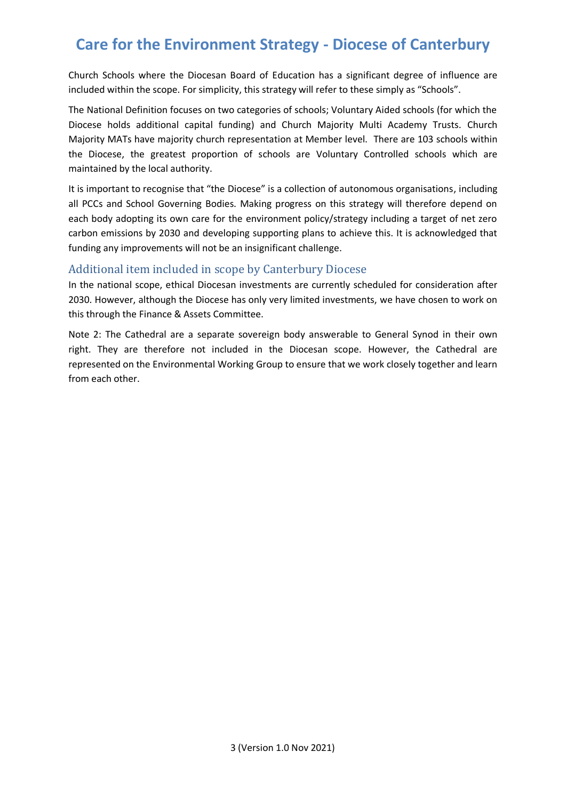Church Schools where the Diocesan Board of Education has a significant degree of influence are included within the scope. For simplicity, this strategy will refer to these simply as "Schools".

The National Definition focuses on two categories of schools; Voluntary Aided schools (for which the Diocese holds additional capital funding) and Church Majority Multi Academy Trusts. Church Majority MATs have majority church representation at Member level. There are 103 schools within the Diocese, the greatest proportion of schools are Voluntary Controlled schools which are maintained by the local authority.

It is important to recognise that "the Diocese" is a collection of autonomous organisations, including all PCCs and School Governing Bodies. Making progress on this strategy will therefore depend on each body adopting its own care for the environment policy/strategy including a target of net zero carbon emissions by 2030 and developing supporting plans to achieve this. It is acknowledged that funding any improvements will not be an insignificant challenge.

### Additional item included in scope by Canterbury Diocese

In the national scope, ethical Diocesan investments are currently scheduled for consideration after 2030. However, although the Diocese has only very limited investments, we have chosen to work on this through the Finance & Assets Committee.

Note 2: The Cathedral are a separate sovereign body answerable to General Synod in their own right. They are therefore not included in the Diocesan scope. However, the Cathedral are represented on the Environmental Working Group to ensure that we work closely together and learn from each other.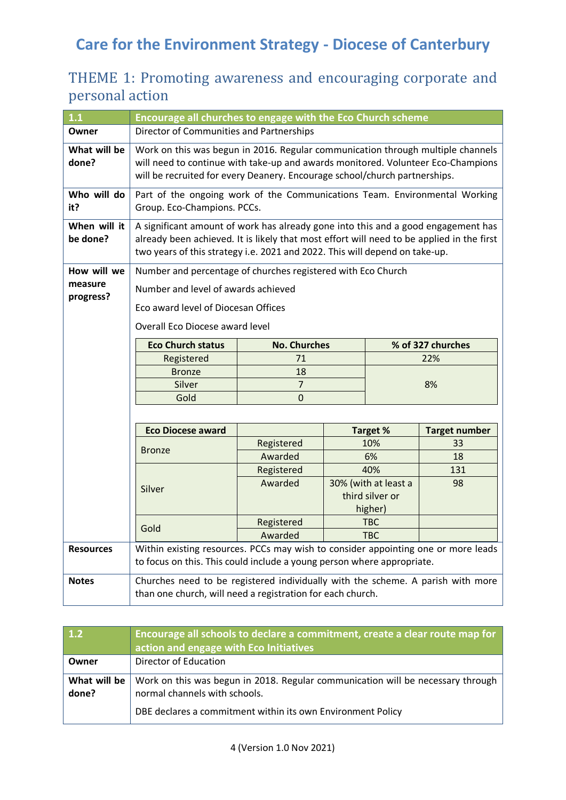## THEME 1: Promoting awareness and encouraging corporate and personal action

| $1.1$                    | Encourage all churches to engage with the Eco Church scheme                                                                                                                                                                                                   |                     |  |                       |                      |
|--------------------------|---------------------------------------------------------------------------------------------------------------------------------------------------------------------------------------------------------------------------------------------------------------|---------------------|--|-----------------------|----------------------|
| Owner                    | Director of Communities and Partnerships                                                                                                                                                                                                                      |                     |  |                       |                      |
| What will be<br>done?    | Work on this was begun in 2016. Regular communication through multiple channels<br>will need to continue with take-up and awards monitored. Volunteer Eco-Champions<br>will be recruited for every Deanery. Encourage school/church partnerships.             |                     |  |                       |                      |
| Who will do<br>it?       | Part of the ongoing work of the Communications Team. Environmental Working<br>Group. Eco-Champions. PCCs.                                                                                                                                                     |                     |  |                       |                      |
| When will it<br>be done? | A significant amount of work has already gone into this and a good engagement has<br>already been achieved. It is likely that most effort will need to be applied in the first<br>two years of this strategy i.e. 2021 and 2022. This will depend on take-up. |                     |  |                       |                      |
| How will we              | Number and percentage of churches registered with Eco Church                                                                                                                                                                                                  |                     |  |                       |                      |
| measure<br>progress?     | Number and level of awards achieved                                                                                                                                                                                                                           |                     |  |                       |                      |
|                          | Eco award level of Diocesan Offices                                                                                                                                                                                                                           |                     |  |                       |                      |
|                          | Overall Eco Diocese award level                                                                                                                                                                                                                               |                     |  |                       |                      |
|                          | <b>Eco Church status</b>                                                                                                                                                                                                                                      | <b>No. Churches</b> |  |                       | % of 327 churches    |
|                          | Registered                                                                                                                                                                                                                                                    | 71                  |  |                       | 22%                  |
|                          | <b>Bronze</b>                                                                                                                                                                                                                                                 | 18                  |  |                       |                      |
|                          | Silver                                                                                                                                                                                                                                                        | $\overline{7}$      |  |                       | 8%                   |
|                          | Gold                                                                                                                                                                                                                                                          | $\overline{0}$      |  |                       |                      |
|                          |                                                                                                                                                                                                                                                               |                     |  |                       |                      |
|                          | <b>Eco Diocese award</b>                                                                                                                                                                                                                                      |                     |  | <b>Target %</b>       | <b>Target number</b> |
|                          | <b>Bronze</b>                                                                                                                                                                                                                                                 | Registered          |  | 10%                   | 33                   |
|                          |                                                                                                                                                                                                                                                               | Awarded             |  | 6%                    | 18                   |
|                          | Silver                                                                                                                                                                                                                                                        | Registered          |  | 40%                   | 131                  |
|                          |                                                                                                                                                                                                                                                               | Awarded             |  | 30% (with at least a  | 98                   |
|                          |                                                                                                                                                                                                                                                               |                     |  | third silver or       |                      |
|                          |                                                                                                                                                                                                                                                               | Registered          |  | higher)<br><b>TBC</b> |                      |
|                          | Gold                                                                                                                                                                                                                                                          | Awarded             |  | <b>TBC</b>            |                      |
| <b>Resources</b>         |                                                                                                                                                                                                                                                               |                     |  |                       |                      |
|                          | Within existing resources. PCCs may wish to consider appointing one or more leads<br>to focus on this. This could include a young person where appropriate.                                                                                                   |                     |  |                       |                      |
| <b>Notes</b>             | Churches need to be registered individually with the scheme. A parish with more                                                                                                                                                                               |                     |  |                       |                      |
|                          | than one church, will need a registration for each church.                                                                                                                                                                                                    |                     |  |                       |                      |

| $\vert$ 1.2           | Encourage all schools to declare a commitment, create a clear route map for<br>action and engage with Eco Initiatives |
|-----------------------|-----------------------------------------------------------------------------------------------------------------------|
| Owner                 | Director of Education                                                                                                 |
| What will be<br>done? | Work on this was begun in 2018. Regular communication will be necessary through<br>normal channels with schools.      |
|                       | DBE declares a commitment within its own Environment Policy                                                           |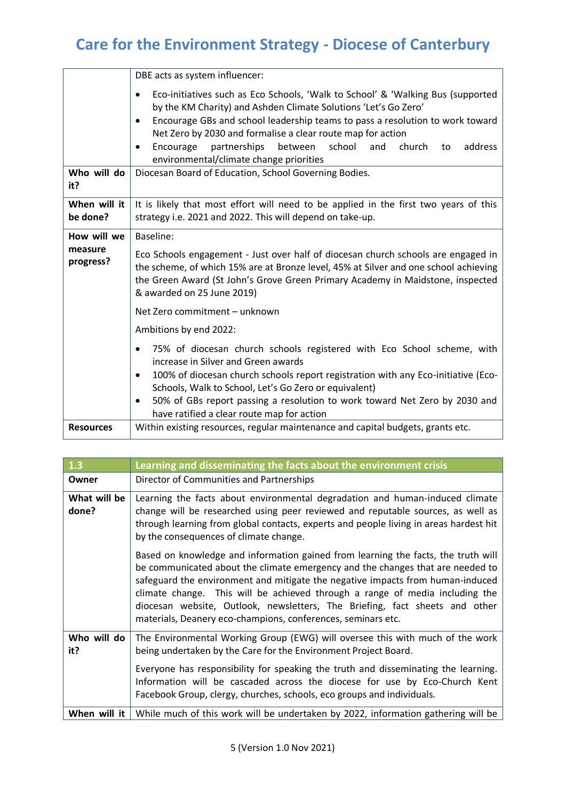|                          | DBE acts as system influencer:                                                                                                                                                                                                                                                                                                                                                                                                                              |  |  |
|--------------------------|-------------------------------------------------------------------------------------------------------------------------------------------------------------------------------------------------------------------------------------------------------------------------------------------------------------------------------------------------------------------------------------------------------------------------------------------------------------|--|--|
|                          | Eco-initiatives such as Eco Schools, 'Walk to School' & 'Walking Bus (supported<br>$\bullet$<br>by the KM Charity) and Ashden Climate Solutions 'Let's Go Zero'<br>Encourage GBs and school leadership teams to pass a resolution to work toward<br>Net Zero by 2030 and formalise a clear route map for action<br>partnerships<br>school<br>address<br>Encourage<br>between<br>church<br>and<br>to<br>$\bullet$<br>environmental/climate change priorities |  |  |
| Who will do<br>it?       | Diocesan Board of Education, School Governing Bodies.                                                                                                                                                                                                                                                                                                                                                                                                       |  |  |
| When will it<br>be done? | It is likely that most effort will need to be applied in the first two years of this<br>strategy i.e. 2021 and 2022. This will depend on take-up.                                                                                                                                                                                                                                                                                                           |  |  |
| How will we              | Baseline:                                                                                                                                                                                                                                                                                                                                                                                                                                                   |  |  |
| measure<br>progress?     | Eco Schools engagement - Just over half of diocesan church schools are engaged in<br>the scheme, of which 15% are at Bronze level, 45% at Silver and one school achieving<br>the Green Award (St John's Grove Green Primary Academy in Maidstone, inspected<br>& awarded on 25 June 2019)                                                                                                                                                                   |  |  |
|                          | Net Zero commitment - unknown                                                                                                                                                                                                                                                                                                                                                                                                                               |  |  |
|                          | Ambitions by end 2022:                                                                                                                                                                                                                                                                                                                                                                                                                                      |  |  |
|                          | 75% of diocesan church schools registered with Eco School scheme, with<br>increase in Silver and Green awards<br>100% of diocesan church schools report registration with any Eco-initiative (Eco-<br>٠<br>Schools, Walk to School, Let's Go Zero or equivalent)<br>50% of GBs report passing a resolution to work toward Net Zero by 2030 and<br>٠<br>have ratified a clear route map for action                                                           |  |  |
| <b>Resources</b>         | Within existing resources, regular maintenance and capital budgets, grants etc.                                                                                                                                                                                                                                                                                                                                                                             |  |  |

| $\boxed{1.3}$         | Learning and disseminating the facts about the environment crisis                                                                                                                                                                                                                                                                                                                                                                                                                    |  |
|-----------------------|--------------------------------------------------------------------------------------------------------------------------------------------------------------------------------------------------------------------------------------------------------------------------------------------------------------------------------------------------------------------------------------------------------------------------------------------------------------------------------------|--|
| Owner                 | Director of Communities and Partnerships                                                                                                                                                                                                                                                                                                                                                                                                                                             |  |
| What will be<br>done? | Learning the facts about environmental degradation and human-induced climate<br>change will be researched using peer reviewed and reputable sources, as well as<br>through learning from global contacts, experts and people living in areas hardest hit<br>by the consequences of climate change.                                                                                                                                                                                   |  |
|                       | Based on knowledge and information gained from learning the facts, the truth will<br>be communicated about the climate emergency and the changes that are needed to<br>safeguard the environment and mitigate the negative impacts from human-induced<br>climate change. This will be achieved through a range of media including the<br>diocesan website, Outlook, newsletters, The Briefing, fact sheets and other<br>materials, Deanery eco-champions, conferences, seminars etc. |  |
| Who will do<br>it?    | The Environmental Working Group (EWG) will oversee this with much of the work<br>being undertaken by the Care for the Environment Project Board.                                                                                                                                                                                                                                                                                                                                     |  |
|                       | Everyone has responsibility for speaking the truth and disseminating the learning.<br>Information will be cascaded across the diocese for use by Eco-Church Kent<br>Facebook Group, clergy, churches, schools, eco groups and individuals.                                                                                                                                                                                                                                           |  |
| When will it          | While much of this work will be undertaken by 2022, information gathering will be                                                                                                                                                                                                                                                                                                                                                                                                    |  |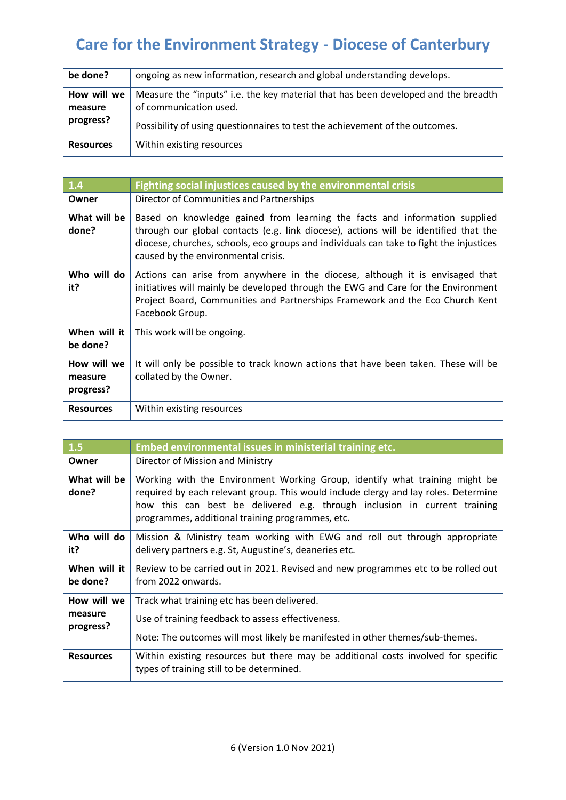| be done?               | ongoing as new information, research and global understanding develops.                                      |
|------------------------|--------------------------------------------------------------------------------------------------------------|
| How will we<br>measure | Measure the "inputs" i.e. the key material that has been developed and the breadth<br>of communication used. |
| progress?              | Possibility of using questionnaires to test the achievement of the outcomes.                                 |
| <b>Resources</b>       | Within existing resources                                                                                    |

| $\overline{1.4}$                    | Fighting social injustices caused by the environmental crisis                                                                                                                                                                                                                                        |
|-------------------------------------|------------------------------------------------------------------------------------------------------------------------------------------------------------------------------------------------------------------------------------------------------------------------------------------------------|
| Owner                               | Director of Communities and Partnerships                                                                                                                                                                                                                                                             |
| What will be<br>done?               | Based on knowledge gained from learning the facts and information supplied<br>through our global contacts (e.g. link diocese), actions will be identified that the<br>diocese, churches, schools, eco groups and individuals can take to fight the injustices<br>caused by the environmental crisis. |
| Who will do<br>it?                  | Actions can arise from anywhere in the diocese, although it is envisaged that<br>initiatives will mainly be developed through the EWG and Care for the Environment<br>Project Board, Communities and Partnerships Framework and the Eco Church Kent<br>Facebook Group.                               |
| When will it<br>be done?            | This work will be ongoing.                                                                                                                                                                                                                                                                           |
| How will we<br>measure<br>progress? | It will only be possible to track known actions that have been taken. These will be<br>collated by the Owner.                                                                                                                                                                                        |
| <b>Resources</b>                    | Within existing resources                                                                                                                                                                                                                                                                            |

| 1.5                      | Embed environmental issues in ministerial training etc.                                                                                                                                                                                                                                             |
|--------------------------|-----------------------------------------------------------------------------------------------------------------------------------------------------------------------------------------------------------------------------------------------------------------------------------------------------|
| Owner                    | Director of Mission and Ministry                                                                                                                                                                                                                                                                    |
| What will be<br>done?    | Working with the Environment Working Group, identify what training might be<br>required by each relevant group. This would include clergy and lay roles. Determine<br>how this can best be delivered e.g. through inclusion in current training<br>programmes, additional training programmes, etc. |
| Who will do<br>it?       | Mission & Ministry team working with EWG and roll out through appropriate<br>delivery partners e.g. St, Augustine's, deaneries etc.                                                                                                                                                                 |
| When will it<br>be done? | Review to be carried out in 2021. Revised and new programmes etc to be rolled out<br>from 2022 onwards.                                                                                                                                                                                             |
| How will we              | Track what training etc has been delivered.                                                                                                                                                                                                                                                         |
| measure<br>progress?     | Use of training feedback to assess effectiveness.                                                                                                                                                                                                                                                   |
|                          | Note: The outcomes will most likely be manifested in other themes/sub-themes.                                                                                                                                                                                                                       |
| <b>Resources</b>         | Within existing resources but there may be additional costs involved for specific<br>types of training still to be determined.                                                                                                                                                                      |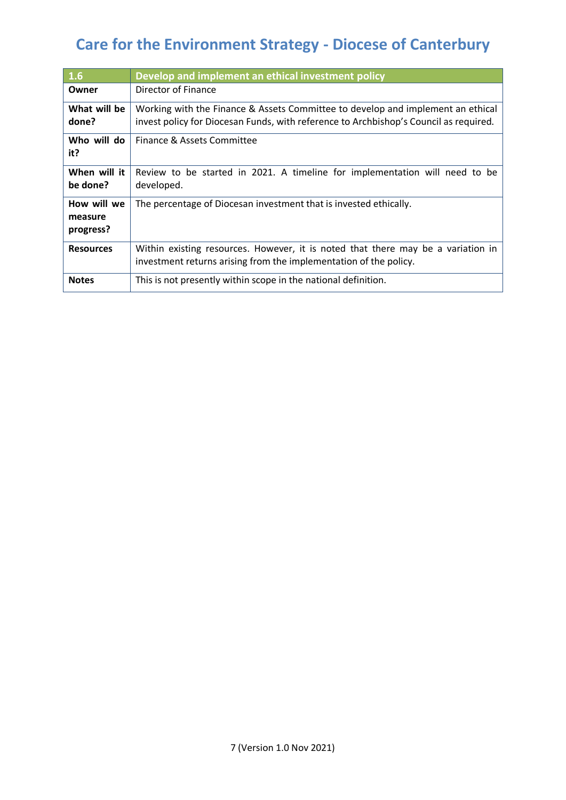| 1.6                                 | Develop and implement an ethical investment policy                                                                                                                       |
|-------------------------------------|--------------------------------------------------------------------------------------------------------------------------------------------------------------------------|
| Owner                               | Director of Finance                                                                                                                                                      |
| What will be<br>done?               | Working with the Finance & Assets Committee to develop and implement an ethical<br>invest policy for Diocesan Funds, with reference to Archbishop's Council as required. |
| Who will do<br>it?                  | Finance & Assets Committee                                                                                                                                               |
| When will it<br>be done?            | Review to be started in 2021. A timeline for implementation will need to be<br>developed.                                                                                |
| How will we<br>measure<br>progress? | The percentage of Diocesan investment that is invested ethically.                                                                                                        |
| <b>Resources</b>                    | Within existing resources. However, it is noted that there may be a variation in<br>investment returns arising from the implementation of the policy.                    |
| <b>Notes</b>                        | This is not presently within scope in the national definition.                                                                                                           |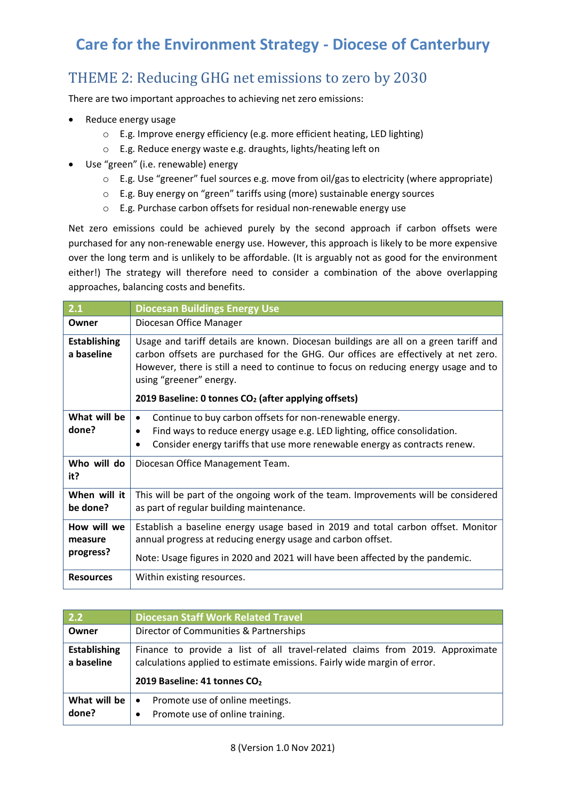## THEME 2: Reducing GHG net emissions to zero by 2030

There are two important approaches to achieving net zero emissions:

- Reduce energy usage
	- o E.g. Improve energy efficiency (e.g. more efficient heating, LED lighting)
	- o E.g. Reduce energy waste e.g. draughts, lights/heating left on
- Use "green" (i.e. renewable) energy
	- o E.g. Use "greener" fuel sources e.g. move from oil/gas to electricity (where appropriate)
	- o E.g. Buy energy on "green" tariffs using (more) sustainable energy sources
	- o E.g. Purchase carbon offsets for residual non-renewable energy use

Net zero emissions could be achieved purely by the second approach if carbon offsets were purchased for any non-renewable energy use. However, this approach is likely to be more expensive over the long term and is unlikely to be affordable. (It is arguably not as good for the environment either!) The strategy will therefore need to consider a combination of the above overlapping approaches, balancing costs and benefits.

| 2.1                                 | <b>Diocesan Buildings Energy Use</b>                                                                                                                                                                                                                                                         |  |
|-------------------------------------|----------------------------------------------------------------------------------------------------------------------------------------------------------------------------------------------------------------------------------------------------------------------------------------------|--|
| Owner                               | Diocesan Office Manager                                                                                                                                                                                                                                                                      |  |
| <b>Establishing</b><br>a baseline   | Usage and tariff details are known. Diocesan buildings are all on a green tariff and<br>carbon offsets are purchased for the GHG. Our offices are effectively at net zero.<br>However, there is still a need to continue to focus on reducing energy usage and to<br>using "greener" energy. |  |
|                                     | 2019 Baseline: 0 tonnes CO <sub>2</sub> (after applying offsets)                                                                                                                                                                                                                             |  |
| What will be<br>done?               | Continue to buy carbon offsets for non-renewable energy.<br>$\bullet$<br>Find ways to reduce energy usage e.g. LED lighting, office consolidation.<br>$\bullet$<br>Consider energy tariffs that use more renewable energy as contracts renew.                                                |  |
| Who will do<br>it?                  | Diocesan Office Management Team.                                                                                                                                                                                                                                                             |  |
| When will it<br>be done?            | This will be part of the ongoing work of the team. Improvements will be considered<br>as part of regular building maintenance.                                                                                                                                                               |  |
| How will we<br>measure<br>progress? | Establish a baseline energy usage based in 2019 and total carbon offset. Monitor<br>annual progress at reducing energy usage and carbon offset.<br>Note: Usage figures in 2020 and 2021 will have been affected by the pandemic.                                                             |  |
| <b>Resources</b>                    | Within existing resources.                                                                                                                                                                                                                                                                   |  |

| 2.2                               | <b>Diocesan Staff Work Related Travel</b>                                                                                                                                                             |  |
|-----------------------------------|-------------------------------------------------------------------------------------------------------------------------------------------------------------------------------------------------------|--|
| Owner                             | Director of Communities & Partnerships                                                                                                                                                                |  |
| <b>Establishing</b><br>a baseline | Finance to provide a list of all travel-related claims from 2019. Approximate<br>calculations applied to estimate emissions. Fairly wide margin of error.<br>2019 Baseline: 41 tonnes CO <sub>2</sub> |  |
| What will be<br>done?             | Promote use of online meetings.<br>$\bullet$<br>Promote use of online training.<br>$\bullet$                                                                                                          |  |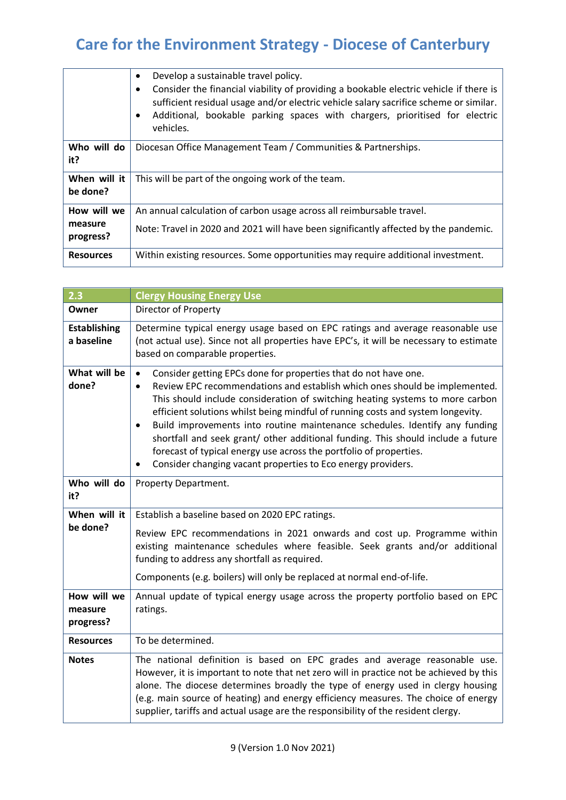|                          | Develop a sustainable travel policy.<br>Consider the financial viability of providing a bookable electric vehicle if there is<br>sufficient residual usage and/or electric vehicle salary sacrifice scheme or similar.<br>Additional, bookable parking spaces with chargers, prioritised for electric<br>vehicles. |
|--------------------------|--------------------------------------------------------------------------------------------------------------------------------------------------------------------------------------------------------------------------------------------------------------------------------------------------------------------|
| Who will do<br>it?       | Diocesan Office Management Team / Communities & Partnerships.                                                                                                                                                                                                                                                      |
| When will it<br>be done? | This will be part of the ongoing work of the team.                                                                                                                                                                                                                                                                 |
| How will we              | An annual calculation of carbon usage across all reimbursable travel.                                                                                                                                                                                                                                              |
| measure<br>progress?     | Note: Travel in 2020 and 2021 will have been significantly affected by the pandemic.                                                                                                                                                                                                                               |
| <b>Resources</b>         | Within existing resources. Some opportunities may require additional investment.                                                                                                                                                                                                                                   |

| 2.3                                 | <b>Clergy Housing Energy Use</b>                                                                                                                                                                                                                                                                                                                                                                                                                                                                                                                                                                                                                                       |  |
|-------------------------------------|------------------------------------------------------------------------------------------------------------------------------------------------------------------------------------------------------------------------------------------------------------------------------------------------------------------------------------------------------------------------------------------------------------------------------------------------------------------------------------------------------------------------------------------------------------------------------------------------------------------------------------------------------------------------|--|
| Owner                               | Director of Property                                                                                                                                                                                                                                                                                                                                                                                                                                                                                                                                                                                                                                                   |  |
| <b>Establishing</b><br>a baseline   | Determine typical energy usage based on EPC ratings and average reasonable use<br>(not actual use). Since not all properties have EPC's, it will be necessary to estimate<br>based on comparable properties.                                                                                                                                                                                                                                                                                                                                                                                                                                                           |  |
| What will be<br>done?               | $\bullet$<br>Consider getting EPCs done for properties that do not have one.<br>Review EPC recommendations and establish which ones should be implemented.<br>$\bullet$<br>This should include consideration of switching heating systems to more carbon<br>efficient solutions whilst being mindful of running costs and system longevity.<br>Build improvements into routine maintenance schedules. Identify any funding<br>$\bullet$<br>shortfall and seek grant/ other additional funding. This should include a future<br>forecast of typical energy use across the portfolio of properties.<br>Consider changing vacant properties to Eco energy providers.<br>٠ |  |
| Who will do<br>it?                  | Property Department.                                                                                                                                                                                                                                                                                                                                                                                                                                                                                                                                                                                                                                                   |  |
| When will it<br>be done?            | Establish a baseline based on 2020 EPC ratings.<br>Review EPC recommendations in 2021 onwards and cost up. Programme within<br>existing maintenance schedules where feasible. Seek grants and/or additional<br>funding to address any shortfall as required.<br>Components (e.g. boilers) will only be replaced at normal end-of-life.                                                                                                                                                                                                                                                                                                                                 |  |
| How will we<br>measure<br>progress? | Annual update of typical energy usage across the property portfolio based on EPC<br>ratings.                                                                                                                                                                                                                                                                                                                                                                                                                                                                                                                                                                           |  |
| <b>Resources</b>                    | To be determined.                                                                                                                                                                                                                                                                                                                                                                                                                                                                                                                                                                                                                                                      |  |
| <b>Notes</b>                        | The national definition is based on EPC grades and average reasonable use.<br>However, it is important to note that net zero will in practice not be achieved by this<br>alone. The diocese determines broadly the type of energy used in clergy housing<br>(e.g. main source of heating) and energy efficiency measures. The choice of energy<br>supplier, tariffs and actual usage are the responsibility of the resident clergy.                                                                                                                                                                                                                                    |  |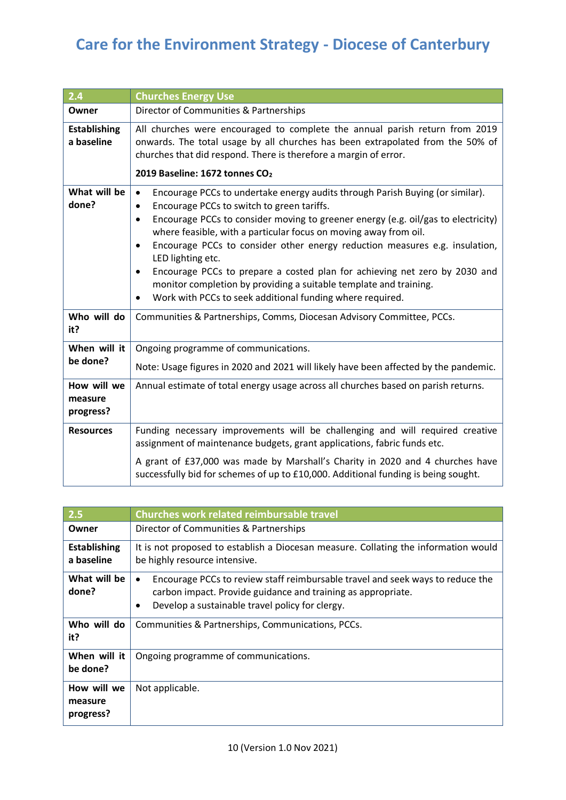| 2.4                                 | <b>Churches Energy Use</b>                                                                                                                                                                                                                                                                                                                                                                                                                                                                                                                                                                                                                                        |
|-------------------------------------|-------------------------------------------------------------------------------------------------------------------------------------------------------------------------------------------------------------------------------------------------------------------------------------------------------------------------------------------------------------------------------------------------------------------------------------------------------------------------------------------------------------------------------------------------------------------------------------------------------------------------------------------------------------------|
| Owner                               | Director of Communities & Partnerships                                                                                                                                                                                                                                                                                                                                                                                                                                                                                                                                                                                                                            |
| <b>Establishing</b><br>a baseline   | All churches were encouraged to complete the annual parish return from 2019<br>onwards. The total usage by all churches has been extrapolated from the 50% of<br>churches that did respond. There is therefore a margin of error.<br>2019 Baseline: 1672 tonnes CO <sub>2</sub>                                                                                                                                                                                                                                                                                                                                                                                   |
| What will be<br>done?               | Encourage PCCs to undertake energy audits through Parish Buying (or similar).<br>$\bullet$<br>Encourage PCCs to switch to green tariffs.<br>$\bullet$<br>Encourage PCCs to consider moving to greener energy (e.g. oil/gas to electricity)<br>$\bullet$<br>where feasible, with a particular focus on moving away from oil.<br>Encourage PCCs to consider other energy reduction measures e.g. insulation,<br>$\bullet$<br>LED lighting etc.<br>Encourage PCCs to prepare a costed plan for achieving net zero by 2030 and<br>٠<br>monitor completion by providing a suitable template and training.<br>Work with PCCs to seek additional funding where required. |
| Who will do<br>it?                  | Communities & Partnerships, Comms, Diocesan Advisory Committee, PCCs.                                                                                                                                                                                                                                                                                                                                                                                                                                                                                                                                                                                             |
| When will it<br>be done?            | Ongoing programme of communications.<br>Note: Usage figures in 2020 and 2021 will likely have been affected by the pandemic.                                                                                                                                                                                                                                                                                                                                                                                                                                                                                                                                      |
| How will we<br>measure<br>progress? | Annual estimate of total energy usage across all churches based on parish returns.                                                                                                                                                                                                                                                                                                                                                                                                                                                                                                                                                                                |
| <b>Resources</b>                    | Funding necessary improvements will be challenging and will required creative<br>assignment of maintenance budgets, grant applications, fabric funds etc.<br>A grant of £37,000 was made by Marshall's Charity in 2020 and 4 churches have                                                                                                                                                                                                                                                                                                                                                                                                                        |
|                                     | successfully bid for schemes of up to £10,000. Additional funding is being sought.                                                                                                                                                                                                                                                                                                                                                                                                                                                                                                                                                                                |

| 2.5                                 | <b>Churches work related reimbursable travel</b>                                                                                                                                                                    |
|-------------------------------------|---------------------------------------------------------------------------------------------------------------------------------------------------------------------------------------------------------------------|
| Owner                               | Director of Communities & Partnerships                                                                                                                                                                              |
| <b>Establishing</b><br>a baseline   | It is not proposed to establish a Diocesan measure. Collating the information would<br>be highly resource intensive.                                                                                                |
| What will be<br>done?               | Encourage PCCs to review staff reimbursable travel and seek ways to reduce the<br>٠<br>carbon impact. Provide guidance and training as appropriate.<br>Develop a sustainable travel policy for clergy.<br>$\bullet$ |
| Who will do<br>it?                  | Communities & Partnerships, Communications, PCCs.                                                                                                                                                                   |
| When will it<br>be done?            | Ongoing programme of communications.                                                                                                                                                                                |
| How will we<br>measure<br>progress? | Not applicable.                                                                                                                                                                                                     |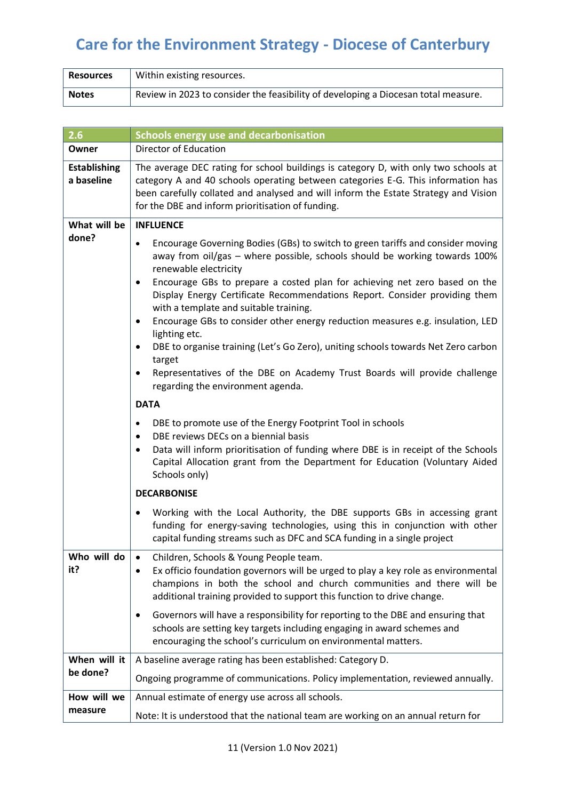| <b>Resources</b> | Within existing resources.                                                         |
|------------------|------------------------------------------------------------------------------------|
| <b>Notes</b>     | Review in 2023 to consider the feasibility of developing a Diocesan total measure. |

| 2.6                               | <b>Schools energy use and decarbonisation</b>                                                                                                                                                                                                                                                                                                                                                                                                                                                                                                                                                                                                                                                                                                                                                                                                                                                                                                                                                                                                                                                                                                   |  |
|-----------------------------------|-------------------------------------------------------------------------------------------------------------------------------------------------------------------------------------------------------------------------------------------------------------------------------------------------------------------------------------------------------------------------------------------------------------------------------------------------------------------------------------------------------------------------------------------------------------------------------------------------------------------------------------------------------------------------------------------------------------------------------------------------------------------------------------------------------------------------------------------------------------------------------------------------------------------------------------------------------------------------------------------------------------------------------------------------------------------------------------------------------------------------------------------------|--|
| Owner                             | Director of Education                                                                                                                                                                                                                                                                                                                                                                                                                                                                                                                                                                                                                                                                                                                                                                                                                                                                                                                                                                                                                                                                                                                           |  |
| <b>Establishing</b><br>a baseline | The average DEC rating for school buildings is category D, with only two schools at<br>category A and 40 schools operating between categories E-G. This information has<br>been carefully collated and analysed and will inform the Estate Strategy and Vision<br>for the DBE and inform prioritisation of funding.                                                                                                                                                                                                                                                                                                                                                                                                                                                                                                                                                                                                                                                                                                                                                                                                                             |  |
| What will be                      | <b>INFLUENCE</b>                                                                                                                                                                                                                                                                                                                                                                                                                                                                                                                                                                                                                                                                                                                                                                                                                                                                                                                                                                                                                                                                                                                                |  |
| done?                             | Encourage Governing Bodies (GBs) to switch to green tariffs and consider moving<br>$\bullet$<br>away from oil/gas - where possible, schools should be working towards 100%<br>renewable electricity<br>Encourage GBs to prepare a costed plan for achieving net zero based on the<br>Display Energy Certificate Recommendations Report. Consider providing them<br>with a template and suitable training.<br>Encourage GBs to consider other energy reduction measures e.g. insulation, LED<br>lighting etc.<br>DBE to organise training (Let's Go Zero), uniting schools towards Net Zero carbon<br>target<br>Representatives of the DBE on Academy Trust Boards will provide challenge<br>regarding the environment agenda.<br><b>DATA</b><br>DBE to promote use of the Energy Footprint Tool in schools<br>DBE reviews DECs on a biennial basis<br>Data will inform prioritisation of funding where DBE is in receipt of the Schools<br>٠<br>Capital Allocation grant from the Department for Education (Voluntary Aided<br>Schools only)<br><b>DECARBONISE</b><br>Working with the Local Authority, the DBE supports GBs in accessing grant |  |
|                                   | funding for energy-saving technologies, using this in conjunction with other<br>capital funding streams such as DFC and SCA funding in a single project                                                                                                                                                                                                                                                                                                                                                                                                                                                                                                                                                                                                                                                                                                                                                                                                                                                                                                                                                                                         |  |
| Who will do<br>it?                | Children, Schools & Young People team.<br>Ex officio foundation governors will be urged to play a key role as environmental<br>champions in both the school and church communities and there will be<br>additional training provided to support this function to drive change.                                                                                                                                                                                                                                                                                                                                                                                                                                                                                                                                                                                                                                                                                                                                                                                                                                                                  |  |
|                                   | Governors will have a responsibility for reporting to the DBE and ensuring that<br>schools are setting key targets including engaging in award schemes and<br>encouraging the school's curriculum on environmental matters.                                                                                                                                                                                                                                                                                                                                                                                                                                                                                                                                                                                                                                                                                                                                                                                                                                                                                                                     |  |
| When will it                      | A baseline average rating has been established: Category D.                                                                                                                                                                                                                                                                                                                                                                                                                                                                                                                                                                                                                                                                                                                                                                                                                                                                                                                                                                                                                                                                                     |  |
| be done?                          | Ongoing programme of communications. Policy implementation, reviewed annually.                                                                                                                                                                                                                                                                                                                                                                                                                                                                                                                                                                                                                                                                                                                                                                                                                                                                                                                                                                                                                                                                  |  |
| How will we                       | Annual estimate of energy use across all schools.                                                                                                                                                                                                                                                                                                                                                                                                                                                                                                                                                                                                                                                                                                                                                                                                                                                                                                                                                                                                                                                                                               |  |
| measure                           | Note: It is understood that the national team are working on an annual return for                                                                                                                                                                                                                                                                                                                                                                                                                                                                                                                                                                                                                                                                                                                                                                                                                                                                                                                                                                                                                                                               |  |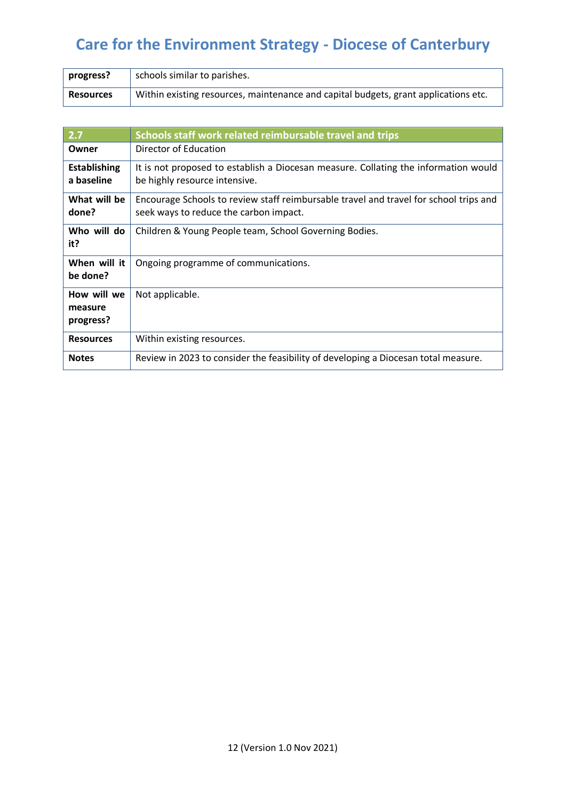| progress? | schools similar to parishes.                                                        |
|-----------|-------------------------------------------------------------------------------------|
| Resources | Within existing resources, maintenance and capital budgets, grant applications etc. |

| 2.7                                 | Schools staff work related reimbursable travel and trips                                                                        |
|-------------------------------------|---------------------------------------------------------------------------------------------------------------------------------|
| Owner                               | Director of Education                                                                                                           |
| <b>Establishing</b><br>a baseline   | It is not proposed to establish a Diocesan measure. Collating the information would<br>be highly resource intensive.            |
| What will be<br>done?               | Encourage Schools to review staff reimbursable travel and travel for school trips and<br>seek ways to reduce the carbon impact. |
| Who will do<br>it?                  | Children & Young People team, School Governing Bodies.                                                                          |
| When will it<br>be done?            | Ongoing programme of communications.                                                                                            |
| How will we<br>measure<br>progress? | Not applicable.                                                                                                                 |
| <b>Resources</b>                    | Within existing resources.                                                                                                      |
| <b>Notes</b>                        | Review in 2023 to consider the feasibility of developing a Diocesan total measure.                                              |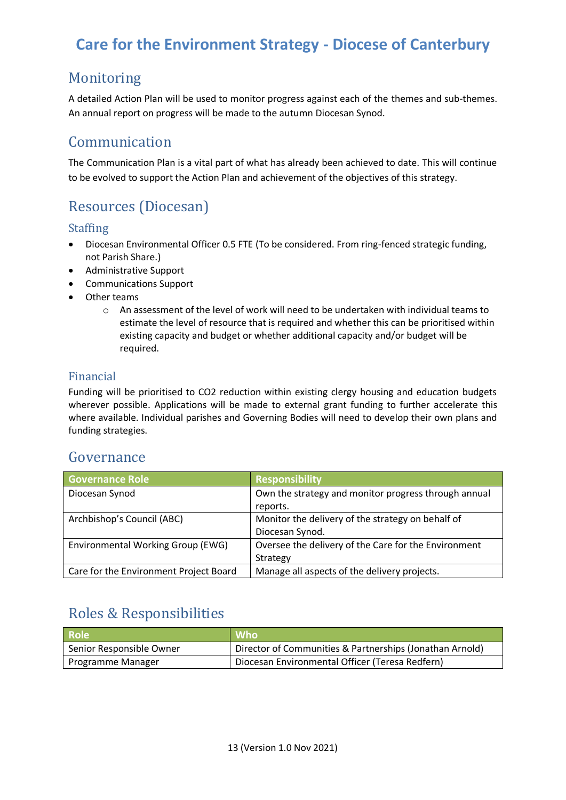## Monitoring

A detailed Action Plan will be used to monitor progress against each of the themes and sub-themes. An annual report on progress will be made to the autumn Diocesan Synod.

## Communication

The Communication Plan is a vital part of what has already been achieved to date. This will continue to be evolved to support the Action Plan and achievement of the objectives of this strategy.

## Resources (Diocesan)

#### Staffing

- Diocesan Environmental Officer 0.5 FTE (To be considered. From ring-fenced strategic funding, not Parish Share.)
- Administrative Support
- Communications Support
- Other teams
	- o An assessment of the level of work will need to be undertaken with individual teams to estimate the level of resource that is required and whether this can be prioritised within existing capacity and budget or whether additional capacity and/or budget will be required.

### Financial

Funding will be prioritised to CO2 reduction within existing clergy housing and education budgets wherever possible. Applications will be made to external grant funding to further accelerate this where available. Individual parishes and Governing Bodies will need to develop their own plans and funding strategies.

### Governance

| <b>Governance Role</b>                 | <b>Responsibility</b>                                |
|----------------------------------------|------------------------------------------------------|
| Diocesan Synod                         | Own the strategy and monitor progress through annual |
|                                        | reports.                                             |
| Archbishop's Council (ABC)             | Monitor the delivery of the strategy on behalf of    |
|                                        | Diocesan Synod.                                      |
| Environmental Working Group (EWG)      | Oversee the delivery of the Care for the Environment |
|                                        | Strategy                                             |
| Care for the Environment Project Board | Manage all aspects of the delivery projects.         |

## Roles & Responsibilities

| <b>Role</b>              | <b>Who</b>                                               |
|--------------------------|----------------------------------------------------------|
| Senior Responsible Owner | Director of Communities & Partnerships (Jonathan Arnold) |
| <b>Programme Manager</b> | Diocesan Environmental Officer (Teresa Redfern)          |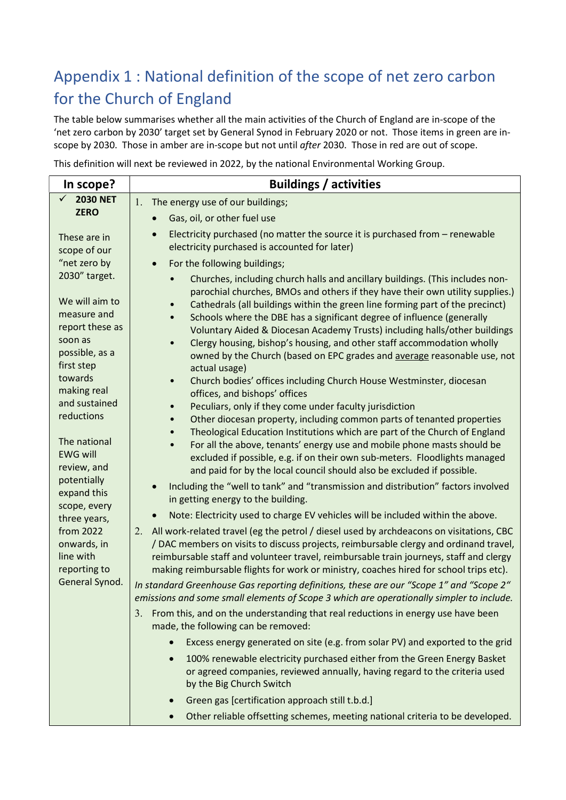# Appendix 1 : National definition of the scope of net zero carbon for the Church of England

The table below summarises whether all the main activities of the Church of England are in-scope of the 'net zero carbon by 2030' target set by General Synod in February 2020 or not. Those items in green are inscope by 2030. Those in amber are in-scope but not until after 2030. Those in red are out of scope.

This definition will next be reviewed in 2022, by the national Environmental Working Group.

| In scope?                                                                                                                                                                                                                                                                                                                                                        | <b>Buildings / activities</b>                                                                                                                                                                                                                                                                                                                                                                                                                                                                                                                                                                                                                                                                                                                                                                                                                                                                                                                                                                                                                                                                                                                                                                                                                                                                                                                                                                                                                                                                                                                                                                            |
|------------------------------------------------------------------------------------------------------------------------------------------------------------------------------------------------------------------------------------------------------------------------------------------------------------------------------------------------------------------|----------------------------------------------------------------------------------------------------------------------------------------------------------------------------------------------------------------------------------------------------------------------------------------------------------------------------------------------------------------------------------------------------------------------------------------------------------------------------------------------------------------------------------------------------------------------------------------------------------------------------------------------------------------------------------------------------------------------------------------------------------------------------------------------------------------------------------------------------------------------------------------------------------------------------------------------------------------------------------------------------------------------------------------------------------------------------------------------------------------------------------------------------------------------------------------------------------------------------------------------------------------------------------------------------------------------------------------------------------------------------------------------------------------------------------------------------------------------------------------------------------------------------------------------------------------------------------------------------------|
| $\checkmark$<br><b>2030 NET</b><br><b>ZERO</b><br>These are in<br>scope of our<br>"net zero by                                                                                                                                                                                                                                                                   | 1.<br>The energy use of our buildings;                                                                                                                                                                                                                                                                                                                                                                                                                                                                                                                                                                                                                                                                                                                                                                                                                                                                                                                                                                                                                                                                                                                                                                                                                                                                                                                                                                                                                                                                                                                                                                   |
|                                                                                                                                                                                                                                                                                                                                                                  | Gas, oil, or other fuel use                                                                                                                                                                                                                                                                                                                                                                                                                                                                                                                                                                                                                                                                                                                                                                                                                                                                                                                                                                                                                                                                                                                                                                                                                                                                                                                                                                                                                                                                                                                                                                              |
|                                                                                                                                                                                                                                                                                                                                                                  | Electricity purchased (no matter the source it is purchased from - renewable<br>$\bullet$<br>electricity purchased is accounted for later)<br>For the following buildings;<br>$\bullet$                                                                                                                                                                                                                                                                                                                                                                                                                                                                                                                                                                                                                                                                                                                                                                                                                                                                                                                                                                                                                                                                                                                                                                                                                                                                                                                                                                                                                  |
| 2030" target.<br>We will aim to<br>measure and<br>report these as<br>soon as<br>possible, as a<br>first step<br>towards<br>making real<br>and sustained<br>reductions<br>The national<br><b>EWG will</b><br>review, and<br>potentially<br>expand this<br>scope, every<br>three years,<br>from 2022<br>onwards, in<br>line with<br>reporting to<br>General Synod. | Churches, including church halls and ancillary buildings. (This includes non-<br>parochial churches, BMOs and others if they have their own utility supplies.)<br>Cathedrals (all buildings within the green line forming part of the precinct)<br>Schools where the DBE has a significant degree of influence (generally<br>$\bullet$<br>Voluntary Aided & Diocesan Academy Trusts) including halls/other buildings<br>Clergy housing, bishop's housing, and other staff accommodation wholly<br>owned by the Church (based on EPC grades and average reasonable use, not<br>actual usage)<br>Church bodies' offices including Church House Westminster, diocesan<br>$\bullet$<br>offices, and bishops' offices<br>Peculiars, only if they come under faculty jurisdiction<br>$\bullet$<br>Other diocesan property, including common parts of tenanted properties<br>Theological Education Institutions which are part of the Church of England<br>For all the above, tenants' energy use and mobile phone masts should be<br>$\bullet$<br>excluded if possible, e.g. if on their own sub-meters. Floodlights managed<br>and paid for by the local council should also be excluded if possible.<br>Including the "well to tank" and "transmission and distribution" factors involved<br>in getting energy to the building.<br>Note: Electricity used to charge EV vehicles will be included within the above.<br>All work-related travel (eg the petrol / diesel used by archdeacons on visitations, CBC<br>2.<br>/ DAC members on visits to discuss projects, reimbursable clergy and ordinand travel, |
|                                                                                                                                                                                                                                                                                                                                                                  | reimbursable staff and volunteer travel, reimbursable train journeys, staff and clergy<br>making reimbursable flights for work or ministry, coaches hired for school trips etc).<br>In standard Greenhouse Gas reporting definitions, these are our "Scope 1" and "Scope 2"                                                                                                                                                                                                                                                                                                                                                                                                                                                                                                                                                                                                                                                                                                                                                                                                                                                                                                                                                                                                                                                                                                                                                                                                                                                                                                                              |
|                                                                                                                                                                                                                                                                                                                                                                  | emissions and some small elements of Scope 3 which are operationally simpler to include.                                                                                                                                                                                                                                                                                                                                                                                                                                                                                                                                                                                                                                                                                                                                                                                                                                                                                                                                                                                                                                                                                                                                                                                                                                                                                                                                                                                                                                                                                                                 |
|                                                                                                                                                                                                                                                                                                                                                                  | From this, and on the understanding that real reductions in energy use have been<br>3.<br>made, the following can be removed:                                                                                                                                                                                                                                                                                                                                                                                                                                                                                                                                                                                                                                                                                                                                                                                                                                                                                                                                                                                                                                                                                                                                                                                                                                                                                                                                                                                                                                                                            |
|                                                                                                                                                                                                                                                                                                                                                                  | Excess energy generated on site (e.g. from solar PV) and exported to the grid                                                                                                                                                                                                                                                                                                                                                                                                                                                                                                                                                                                                                                                                                                                                                                                                                                                                                                                                                                                                                                                                                                                                                                                                                                                                                                                                                                                                                                                                                                                            |
|                                                                                                                                                                                                                                                                                                                                                                  | 100% renewable electricity purchased either from the Green Energy Basket<br>$\bullet$<br>or agreed companies, reviewed annually, having regard to the criteria used<br>by the Big Church Switch                                                                                                                                                                                                                                                                                                                                                                                                                                                                                                                                                                                                                                                                                                                                                                                                                                                                                                                                                                                                                                                                                                                                                                                                                                                                                                                                                                                                          |
|                                                                                                                                                                                                                                                                                                                                                                  | Green gas [certification approach still t.b.d.]<br>$\bullet$                                                                                                                                                                                                                                                                                                                                                                                                                                                                                                                                                                                                                                                                                                                                                                                                                                                                                                                                                                                                                                                                                                                                                                                                                                                                                                                                                                                                                                                                                                                                             |
|                                                                                                                                                                                                                                                                                                                                                                  | Other reliable offsetting schemes, meeting national criteria to be developed.                                                                                                                                                                                                                                                                                                                                                                                                                                                                                                                                                                                                                                                                                                                                                                                                                                                                                                                                                                                                                                                                                                                                                                                                                                                                                                                                                                                                                                                                                                                            |